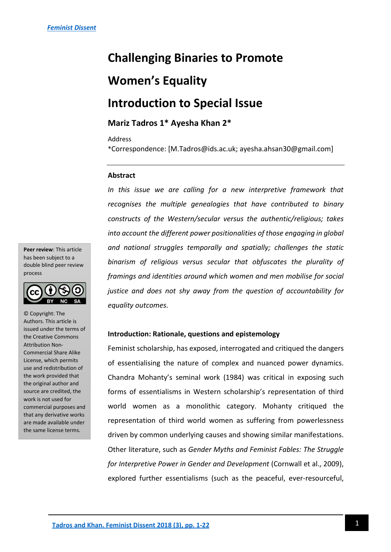# **Challenging Binaries to Promote Women's Equality Introduction to Special Issue**

### **Mariz Tadros 1\* Ayesha Khan 2\***

#### Address

\*Correspondence: [M.Tadros@ids.ac.uk; ayesha.ahsan30@gmail.com]

#### **Abstract**

*In this issue we are calling for a new interpretive framework that recognises the multiple genealogies that have contributed to binary constructs of the Western/secular versus the authentic/religious; takes into account the different power positionalities of those engaging in global and national struggles temporally and spatially; challenges the static binarism of religious versus secular that obfuscates the plurality of framings and identities around which women and men mobilise for social justice and does not shy away from the question of accountability for equality outcomes.* 

#### **Introduction: Rationale, questions and epistemology**

Feminist scholarship, has exposed, interrogated and critiqued the dangers of essentialising the nature of complex and nuanced power dynamics. Chandra Mohanty's seminal work (1984) was critical in exposing such forms of essentialisms in Western scholarship's representation of third world women as a monolithic category. Mohanty critiqued the representation of third world women as suffering from powerlessness driven by common underlying causes and showing similar manifestations. Other literature, such as *Gender Myths and Feminist Fables: The Struggle for Interpretive Power in Gender and Development* (Cornwall et al., 2009), explored further essentialisms (such as the peaceful, ever-resourceful,

**Peer review**: This article has been subject to a double blind peer review process



© Copyright: The Authors. This article is issued under the terms of the Creative Commons Attribution Non-Commercial Share Alike License, which permits use and redistribution of the work provided that the original author and source are credited, the work is not used for commercial purposes and that any derivative works are made available under the same license terms.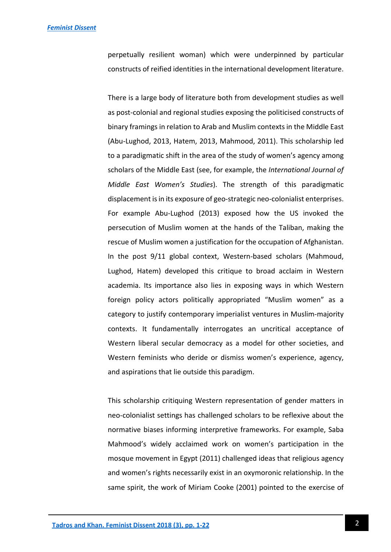perpetually resilient woman) which were underpinned by particular constructs of reified identities in the international development literature.

There is a large body of literature both from development studies as well as post-colonial and regional studies exposing the politicised constructs of binary framings in relation to Arab and Muslim contexts in the Middle East (Abu-Lughod, 2013, Hatem, 2013, Mahmood, 2011). This scholarship led to a paradigmatic shift in the area of the study of women's agency among scholars of the Middle East (see, for example, the *International Journal of Middle East Women's Studies*). The strength of this paradigmatic displacement is in its exposure of geo-strategic neo-colonialist enterprises. For example Abu-Lughod (2013) exposed how the US invoked the persecution of Muslim women at the hands of the Taliban, making the rescue of Muslim women a justification for the occupation of Afghanistan. In the post 9/11 global context, Western-based scholars (Mahmoud, Lughod, Hatem) developed this critique to broad acclaim in Western academia. Its importance also lies in exposing ways in which Western foreign policy actors politically appropriated "Muslim women" as a category to justify contemporary imperialist ventures in Muslim-majority contexts. It fundamentally interrogates an uncritical acceptance of Western liberal secular democracy as a model for other societies, and Western feminists who deride or dismiss women's experience, agency, and aspirations that lie outside this paradigm.

This scholarship critiquing Western representation of gender matters in neo-colonialist settings has challenged scholars to be reflexive about the normative biases informing interpretive frameworks. For example, Saba Mahmood's widely acclaimed work on women's participation in the mosque movement in Egypt (2011) challenged ideas that religious agency and women's rights necessarily exist in an oxymoronic relationship. In the same spirit, the work of Miriam Cooke (2001) pointed to the exercise of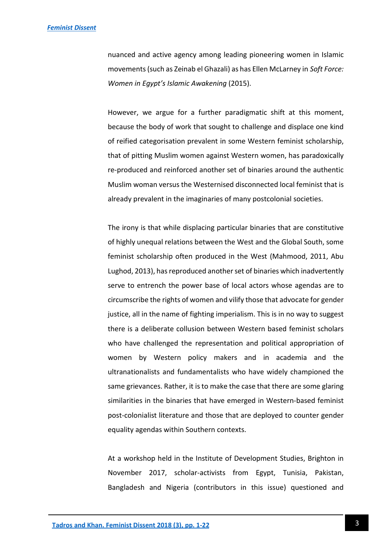nuanced and active agency among leading pioneering women in Islamic movements (such as Zeinab el Ghazali) as has Ellen McLarney in *Soft Force: Women in Egypt's Islamic Awakening* (2015).

However, we argue for a further paradigmatic shift at this moment, because the body of work that sought to challenge and displace one kind of reified categorisation prevalent in some Western feminist scholarship, that of pitting Muslim women against Western women, has paradoxically re-produced and reinforced another set of binaries around the authentic Muslim woman versus the Westernised disconnected local feminist that is already prevalent in the imaginaries of many postcolonial societies.

The irony is that while displacing particular binaries that are constitutive of highly unequal relations between the West and the Global South, some feminist scholarship often produced in the West (Mahmood, 2011, Abu Lughod, 2013), has reproduced another set of binaries which inadvertently serve to entrench the power base of local actors whose agendas are to circumscribe the rights of women and vilify those that advocate for gender justice, all in the name of fighting imperialism. This is in no way to suggest there is a deliberate collusion between Western based feminist scholars who have challenged the representation and political appropriation of women by Western policy makers and in academia and the ultranationalists and fundamentalists who have widely championed the same grievances. Rather, it is to make the case that there are some glaring similarities in the binaries that have emerged in Western-based feminist post-colonialist literature and those that are deployed to counter gender equality agendas within Southern contexts.

At a workshop held in the Institute of Development Studies, Brighton in November 2017, scholar-activists from Egypt, Tunisia, Pakistan, Bangladesh and Nigeria (contributors in this issue) questioned and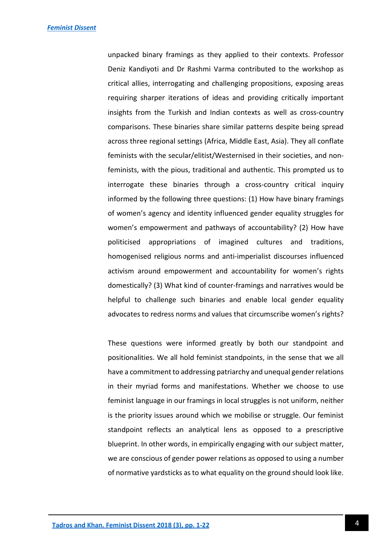unpacked binary framings as they applied to their contexts. Professor Deniz Kandiyoti and Dr Rashmi Varma contributed to the workshop as critical allies, interrogating and challenging propositions, exposing areas requiring sharper iterations of ideas and providing critically important insights from the Turkish and Indian contexts as well as cross-country comparisons. These binaries share similar patterns despite being spread across three regional settings (Africa, Middle East, Asia). They all conflate feminists with the secular/elitist/Westernised in their societies, and nonfeminists, with the pious, traditional and authentic. This prompted us to interrogate these binaries through a cross-country critical inquiry informed by the following three questions: (1) How have binary framings of women's agency and identity influenced gender equality struggles for women's empowerment and pathways of accountability? (2) How have politicised appropriations of imagined cultures and traditions, homogenised religious norms and anti-imperialist discourses influenced activism around empowerment and accountability for women's rights domestically? (3) What kind of counter-framings and narratives would be helpful to challenge such binaries and enable local gender equality advocates to redress norms and values that circumscribe women's rights?

These questions were informed greatly by both our standpoint and positionalities. We all hold feminist standpoints, in the sense that we all have a commitment to addressing patriarchy and unequal gender relations in their myriad forms and manifestations. Whether we choose to use feminist language in our framings in local struggles is not uniform, neither is the priority issues around which we mobilise or struggle. Our feminist standpoint reflects an analytical lens as opposed to a prescriptive blueprint. In other words, in empirically engaging with our subject matter, we are conscious of gender power relations as opposed to using a number of normative yardsticks as to what equality on the ground should look like.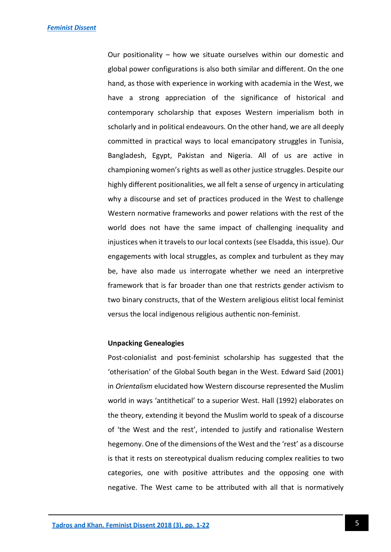Our positionality – how we situate ourselves within our domestic and global power configurations is also both similar and different. On the one hand, as those with experience in working with academia in the West, we have a strong appreciation of the significance of historical and contemporary scholarship that exposes Western imperialism both in scholarly and in political endeavours. On the other hand, we are all deeply committed in practical ways to local emancipatory struggles in Tunisia, Bangladesh, Egypt, Pakistan and Nigeria. All of us are active in championing women's rights as well as other justice struggles. Despite our highly different positionalities, we all felt a sense of urgency in articulating why a discourse and set of practices produced in the West to challenge Western normative frameworks and power relations with the rest of the world does not have the same impact of challenging inequality and injustices when it travels to our local contexts (see Elsadda, this issue). Our engagements with local struggles, as complex and turbulent as they may be, have also made us interrogate whether we need an interpretive framework that is far broader than one that restricts gender activism to two binary constructs, that of the Western areligious elitist local feminist versus the local indigenous religious authentic non-feminist.

#### **Unpacking Genealogies**

Post-colonialist and post-feminist scholarship has suggested that the 'otherisation' of the Global South began in the West. Edward Said (2001) in *Orientalism* elucidated how Western discourse represented the Muslim world in ways 'antithetical' to a superior West. Hall (1992) elaborates on the theory, extending it beyond the Muslim world to speak of a discourse of 'the West and the rest', intended to justify and rationalise Western hegemony. One of the dimensions of the West and the 'rest' as a discourse is that it rests on stereotypical dualism reducing complex realities to two categories, one with positive attributes and the opposing one with negative. The West came to be attributed with all that is normatively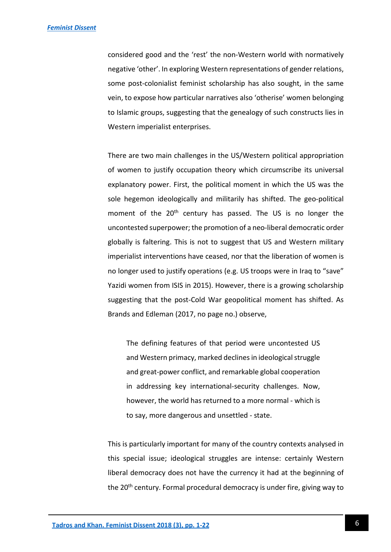considered good and the 'rest' the non-Western world with normatively negative 'other'. In exploring Western representations of gender relations, some post-colonialist feminist scholarship has also sought, in the same vein, to expose how particular narratives also 'otherise' women belonging to Islamic groups, suggesting that the genealogy of such constructs lies in Western imperialist enterprises.

There are two main challenges in the US/Western political appropriation of women to justify occupation theory which circumscribe its universal explanatory power. First, the political moment in which the US was the sole hegemon ideologically and militarily has shifted. The geo-political moment of the 20<sup>th</sup> century has passed. The US is no longer the uncontested superpower; the promotion of a neo-liberal democratic order globally is faltering. This is not to suggest that US and Western military imperialist interventions have ceased, nor that the liberation of women is no longer used to justify operations (e.g. US troops were in Iraq to "save" Yazidi women from ISIS in 2015). However, there is a growing scholarship suggesting that the post-Cold War geopolitical moment has shifted. As Brands and Edleman (2017, no page no.) observe,

The defining features of that period were uncontested US and Western primacy, marked declines in ideological struggle and great-power conflict, and remarkable global cooperation in addressing key international-security challenges. Now, however, the world has returned to a more normal - which is to say, more dangerous and unsettled - state.

This is particularly important for many of the country contexts analysed in this special issue; ideological struggles are intense: certainly Western liberal democracy does not have the currency it had at the beginning of the 20<sup>th</sup> century. Formal procedural democracy is under fire, giving way to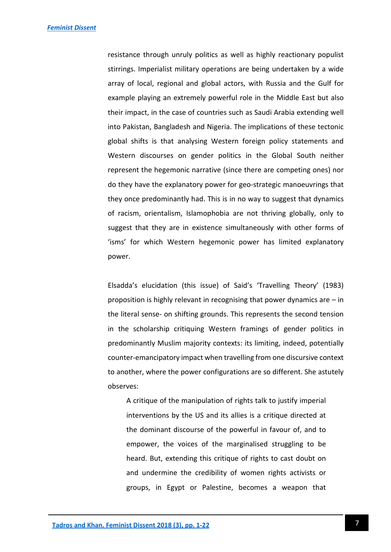resistance through unruly politics as well as highly reactionary populist stirrings. Imperialist military operations are being undertaken by a wide array of local, regional and global actors, with Russia and the Gulf for example playing an extremely powerful role in the Middle East but also their impact, in the case of countries such as Saudi Arabia extending well into Pakistan, Bangladesh and Nigeria. The implications of these tectonic global shifts is that analysing Western foreign policy statements and Western discourses on gender politics in the Global South neither represent the hegemonic narrative (since there are competing ones) nor do they have the explanatory power for geo-strategic manoeuvrings that they once predominantly had. This is in no way to suggest that dynamics of racism, orientalism, Islamophobia are not thriving globally, only to suggest that they are in existence simultaneously with other forms of 'isms' for which Western hegemonic power has limited explanatory power.

Elsadda's elucidation (this issue) of Said's 'Travelling Theory' (1983) proposition is highly relevant in recognising that power dynamics are – in the literal sense- on shifting grounds. This represents the second tension in the scholarship critiquing Western framings of gender politics in predominantly Muslim majority contexts: its limiting, indeed, potentially counter-emancipatory impact when travelling from one discursive context to another, where the power configurations are so different. She astutely observes:

A critique of the manipulation of rights talk to justify imperial interventions by the US and its allies is a critique directed at the dominant discourse of the powerful in favour of, and to empower, the voices of the marginalised struggling to be heard. But, extending this critique of rights to cast doubt on and undermine the credibility of women rights activists or groups, in Egypt or Palestine, becomes a weapon that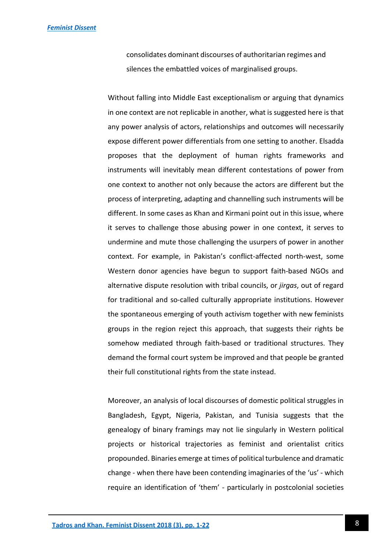consolidates dominant discourses of authoritarian regimes and silences the embattled voices of marginalised groups.

Without falling into Middle East exceptionalism or arguing that dynamics in one context are not replicable in another, what is suggested here is that any power analysis of actors, relationships and outcomes will necessarily expose different power differentials from one setting to another. Elsadda proposes that the deployment of human rights frameworks and instruments will inevitably mean different contestations of power from one context to another not only because the actors are different but the process of interpreting, adapting and channelling such instruments will be different. In some cases as Khan and Kirmani point out in this issue, where it serves to challenge those abusing power in one context, it serves to undermine and mute those challenging the usurpers of power in another context. For example, in Pakistan's conflict-affected north-west, some Western donor agencies have begun to support faith-based NGOs and alternative dispute resolution with tribal councils, or *jirgas*, out of regard for traditional and so-called culturally appropriate institutions. However the spontaneous emerging of youth activism together with new feminists groups in the region reject this approach, that suggests their rights be somehow mediated through faith-based or traditional structures. They demand the formal court system be improved and that people be granted their full constitutional rights from the state instead.

Moreover, an analysis of local discourses of domestic political struggles in Bangladesh, Egypt, Nigeria, Pakistan, and Tunisia suggests that the genealogy of binary framings may not lie singularly in Western political projects or historical trajectories as feminist and orientalist critics propounded. Binaries emerge at times of political turbulence and dramatic change - when there have been contending imaginaries of the 'us' - which require an identification of 'them' - particularly in postcolonial societies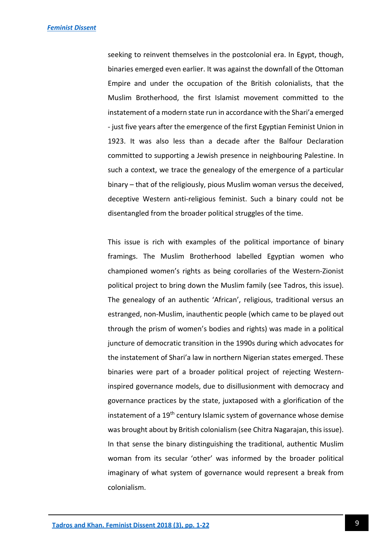seeking to reinvent themselves in the postcolonial era. In Egypt, though, binaries emerged even earlier. It was against the downfall of the Ottoman Empire and under the occupation of the British colonialists, that the Muslim Brotherhood, the first Islamist movement committed to the instatement of a modern state run in accordance with the Shari'a emerged - just five years after the emergence of the first Egyptian Feminist Union in 1923. It was also less than a decade after the Balfour Declaration committed to supporting a Jewish presence in neighbouring Palestine. In such a context, we trace the genealogy of the emergence of a particular binary – that of the religiously, pious Muslim woman versus the deceived, deceptive Western anti-religious feminist. Such a binary could not be disentangled from the broader political struggles of the time.

This issue is rich with examples of the political importance of binary framings. The Muslim Brotherhood labelled Egyptian women who championed women's rights as being corollaries of the Western-Zionist political project to bring down the Muslim family (see Tadros, this issue). The genealogy of an authentic 'African', religious, traditional versus an estranged, non-Muslim, inauthentic people (which came to be played out through the prism of women's bodies and rights) was made in a political juncture of democratic transition in the 1990s during which advocates for the instatement of Shari'a law in northern Nigerian states emerged. These binaries were part of a broader political project of rejecting Westerninspired governance models, due to disillusionment with democracy and governance practices by the state, juxtaposed with a glorification of the instatement of a 19<sup>th</sup> century Islamic system of governance whose demise was brought about by British colonialism (see Chitra Nagarajan, this issue). In that sense the binary distinguishing the traditional, authentic Muslim woman from its secular 'other' was informed by the broader political imaginary of what system of governance would represent a break from colonialism.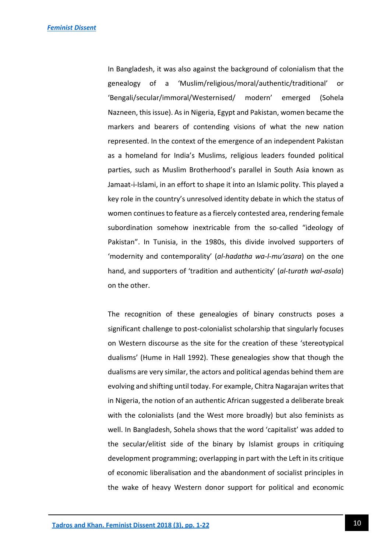In Bangladesh, it was also against the background of colonialism that the genealogy of a 'Muslim/religious/moral/authentic/traditional' or 'Bengali/secular/immoral/Westernised/ modern' emerged (Sohela Nazneen, this issue). As in Nigeria, Egypt and Pakistan, women became the markers and bearers of contending visions of what the new nation represented. In the context of the emergence of an independent Pakistan as a homeland for India's Muslims, religious leaders founded political parties, such as Muslim Brotherhood's parallel in South Asia known as Jamaat-i-Islami, in an effort to shape it into an Islamic polity. This played a key role in the country's unresolved identity debate in which the status of women continues to feature as a fiercely contested area, rendering female subordination somehow inextricable from the so-called "ideology of Pakistan". In Tunisia, in the 1980s, this divide involved supporters of 'modernity and contemporality' (*al-hadatha wa-l-mu'asara*) on the one hand, and supporters of 'tradition and authenticity' (*al-turath wal-asala*) on the other.

The recognition of these genealogies of binary constructs poses a significant challenge to post-colonialist scholarship that singularly focuses on Western discourse as the site for the creation of these 'stereotypical dualisms' (Hume in Hall 1992). These genealogies show that though the dualisms are very similar, the actors and political agendas behind them are evolving and shifting until today. For example, Chitra Nagarajan writes that in Nigeria, the notion of an authentic African suggested a deliberate break with the colonialists (and the West more broadly) but also feminists as well. In Bangladesh, Sohela shows that the word 'capitalist' was added to the secular/elitist side of the binary by Islamist groups in critiquing development programming; overlapping in part with the Left in its critique of economic liberalisation and the abandonment of socialist principles in the wake of heavy Western donor support for political and economic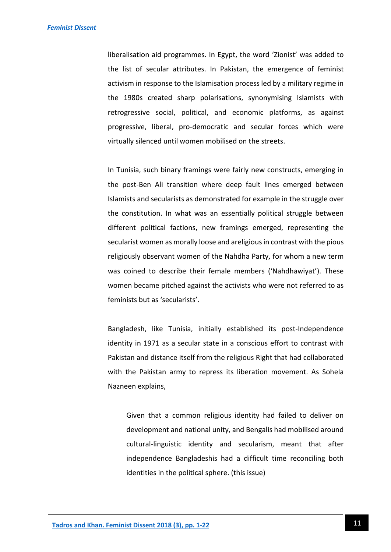liberalisation aid programmes. In Egypt, the word 'Zionist' was added to the list of secular attributes. In Pakistan, the emergence of feminist activism in response to the Islamisation process led by a military regime in the 1980s created sharp polarisations, synonymising Islamists with retrogressive social, political, and economic platforms, as against progressive, liberal, pro-democratic and secular forces which were virtually silenced until women mobilised on the streets.

In Tunisia, such binary framings were fairly new constructs, emerging in the post-Ben Ali transition where deep fault lines emerged between Islamists and secularists as demonstrated for example in the struggle over the constitution. In what was an essentially political struggle between different political factions, new framings emerged, representing the secularist women as morally loose and areligious in contrast with the pious religiously observant women of the Nahdha Party, for whom a new term was coined to describe their female members ('Nahdhawiyat'). These women became pitched against the activists who were not referred to as feminists but as 'secularists'.

Bangladesh, like Tunisia, initially established its post-Independence identity in 1971 as a secular state in a conscious effort to contrast with Pakistan and distance itself from the religious Right that had collaborated with the Pakistan army to repress its liberation movement. As Sohela Nazneen explains,

Given that a common religious identity had failed to deliver on development and national unity, and Bengalis had mobilised around cultural-linguistic identity and secularism, meant that after independence Bangladeshis had a difficult time reconciling both identities in the political sphere. (this issue)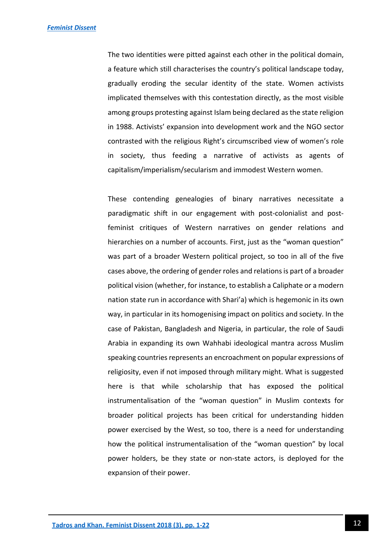The two identities were pitted against each other in the political domain, a feature which still characterises the country's political landscape today, gradually eroding the secular identity of the state. Women activists implicated themselves with this contestation directly, as the most visible among groups protesting against Islam being declared as the state religion in 1988. Activists' expansion into development work and the NGO sector contrasted with the religious Right's circumscribed view of women's role in society, thus feeding a narrative of activists as agents of capitalism/imperialism/secularism and immodest Western women.

These contending genealogies of binary narratives necessitate a paradigmatic shift in our engagement with post-colonialist and postfeminist critiques of Western narratives on gender relations and hierarchies on a number of accounts. First, just as the "woman question" was part of a broader Western political project, so too in all of the five cases above, the ordering of gender roles and relations is part of a broader political vision (whether, for instance, to establish a Caliphate or a modern nation state run in accordance with Shari'a) which is hegemonic in its own way, in particular in its homogenising impact on politics and society. In the case of Pakistan, Bangladesh and Nigeria, in particular, the role of Saudi Arabia in expanding its own Wahhabi ideological mantra across Muslim speaking countries represents an encroachment on popular expressions of religiosity, even if not imposed through military might. What is suggested here is that while scholarship that has exposed the political instrumentalisation of the "woman question" in Muslim contexts for broader political projects has been critical for understanding hidden power exercised by the West, so too, there is a need for understanding how the political instrumentalisation of the "woman question" by local power holders, be they state or non-state actors, is deployed for the expansion of their power.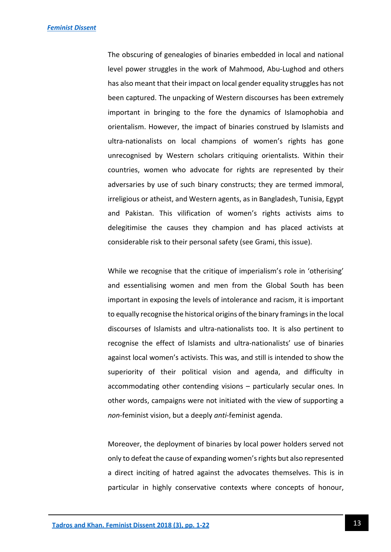The obscuring of genealogies of binaries embedded in local and national level power struggles in the work of Mahmood, Abu-Lughod and others has also meant that their impact on local gender equality struggles has not been captured. The unpacking of Western discourses has been extremely important in bringing to the fore the dynamics of Islamophobia and orientalism. However, the impact of binaries construed by Islamists and ultra-nationalists on local champions of women's rights has gone unrecognised by Western scholars critiquing orientalists. Within their countries, women who advocate for rights are represented by their adversaries by use of such binary constructs; they are termed immoral, irreligious or atheist, and Western agents, as in Bangladesh, Tunisia, Egypt and Pakistan. This vilification of women's rights activists aims to delegitimise the causes they champion and has placed activists at considerable risk to their personal safety (see Grami, this issue).

While we recognise that the critique of imperialism's role in 'otherising' and essentialising women and men from the Global South has been important in exposing the levels of intolerance and racism, it is important to equally recognise the historical origins of the binary framings in the local discourses of Islamists and ultra-nationalists too. It is also pertinent to recognise the effect of Islamists and ultra-nationalists' use of binaries against local women's activists. This was, and still is intended to show the superiority of their political vision and agenda, and difficulty in accommodating other contending visions – particularly secular ones. In other words, campaigns were not initiated with the view of supporting a *non*-feminist vision, but a deeply *anti*-feminist agenda.

Moreover, the deployment of binaries by local power holders served not only to defeat the cause of expanding women's rights but also represented a direct inciting of hatred against the advocates themselves. This is in particular in highly conservative contexts where concepts of honour,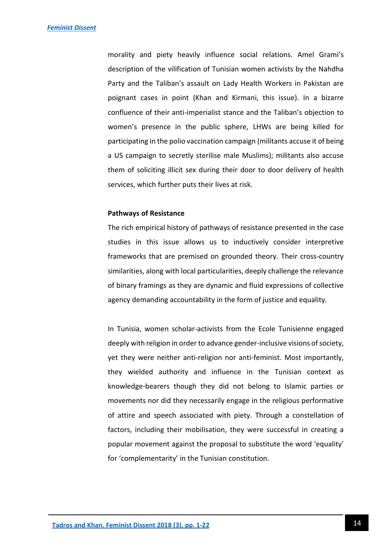morality and piety heavily influence social relations. Amel Grami's description of the vilification of Tunisian women activists by the Nahdha Party and the Taliban's assault on Lady Health Workers in Pakistan are poignant cases in point (Khan and Kirmani, this issue). In a bizarre confluence of their anti-imperialist stance and the Taliban's objection to women's presence in the public sphere, LHWs are being killed for participating in the polio vaccination campaign (militants accuse it of being a US campaign to secretly sterilise male Muslims); militants also accuse them of soliciting illicit sex during their door to door delivery of health services, which further puts their lives at risk.

#### **Pathways of Resistance**

The rich empirical history of pathways of resistance presented in the case studies in this issue allows us to inductively consider interpretive frameworks that are premised on grounded theory. Their cross-country similarities, along with local particularities, deeply challenge the relevance of binary framings as they are dynamic and fluid expressions of collective agency demanding accountability in the form of justice and equality.

In Tunisia, women scholar-activists from the Ecole Tunisienne engaged deeply with religion in order to advance gender-inclusive visions of society, yet they were neither anti-religion nor anti-feminist. Most importantly, they wielded authority and influence in the Tunisian context as knowledge-bearers though they did not belong to Islamic parties or movements nor did they necessarily engage in the religious performative of attire and speech associated with piety. Through a constellation of factors, including their mobilisation, they were successful in creating a popular movement against the proposal to substitute the word 'equality' for 'complementarity' in the Tunisian constitution.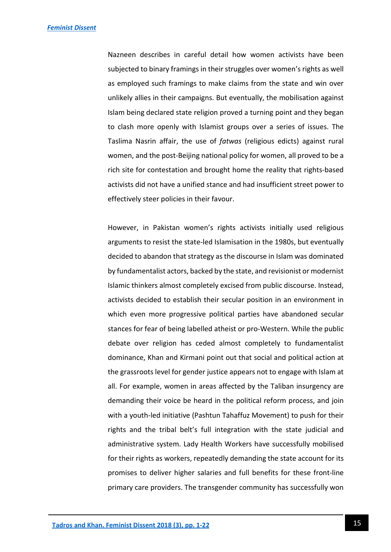Nazneen describes in careful detail how women activists have been subjected to binary framings in their struggles over women's rights as well as employed such framings to make claims from the state and win over unlikely allies in their campaigns. But eventually, the mobilisation against Islam being declared state religion proved a turning point and they began to clash more openly with Islamist groups over a series of issues. The Taslima Nasrin affair, the use of *fatwas* (religious edicts) against rural women, and the post-Beijing national policy for women, all proved to be a rich site for contestation and brought home the reality that rights-based activists did not have a unified stance and had insufficient street power to effectively steer policies in their favour.

However, in Pakistan women's rights activists initially used religious arguments to resist the state-led Islamisation in the 1980s, but eventually decided to abandon that strategy as the discourse in Islam was dominated by fundamentalist actors, backed by the state, and revisionist or modernist Islamic thinkers almost completely excised from public discourse. Instead, activists decided to establish their secular position in an environment in which even more progressive political parties have abandoned secular stances for fear of being labelled atheist or pro-Western. While the public debate over religion has ceded almost completely to fundamentalist dominance, Khan and Kirmani point out that social and political action at the grassroots level for gender justice appears not to engage with Islam at all. For example, women in areas affected by the Taliban insurgency are demanding their voice be heard in the political reform process, and join with a youth-led initiative (Pashtun Tahaffuz Movement) to push for their rights and the tribal belt's full integration with the state judicial and administrative system. Lady Health Workers have successfully mobilised for their rights as workers, repeatedly demanding the state account for its promises to deliver higher salaries and full benefits for these front-line primary care providers. The transgender community has successfully won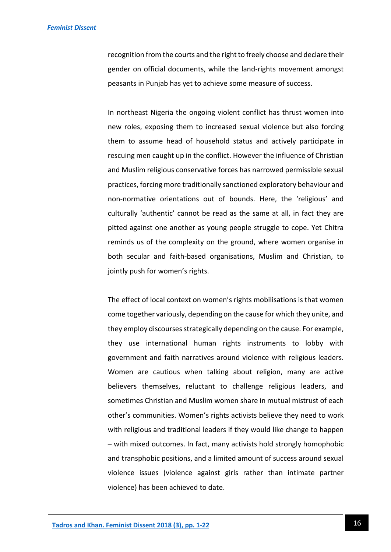recognition from the courts and the right to freely choose and declare their gender on official documents, while the land-rights movement amongst peasants in Punjab has yet to achieve some measure of success.

In northeast Nigeria the ongoing violent conflict has thrust women into new roles, exposing them to increased sexual violence but also forcing them to assume head of household status and actively participate in rescuing men caught up in the conflict. However the influence of Christian and Muslim religious conservative forces has narrowed permissible sexual practices, forcing more traditionally sanctioned exploratory behaviour and non-normative orientations out of bounds. Here, the 'religious' and culturally 'authentic' cannot be read as the same at all, in fact they are pitted against one another as young people struggle to cope. Yet Chitra reminds us of the complexity on the ground, where women organise in both secular and faith-based organisations, Muslim and Christian, to jointly push for women's rights.

The effect of local context on women's rights mobilisations is that women come together variously, depending on the cause for which they unite, and they employ discourses strategically depending on the cause. For example, they use international human rights instruments to lobby with government and faith narratives around violence with religious leaders. Women are cautious when talking about religion, many are active believers themselves, reluctant to challenge religious leaders, and sometimes Christian and Muslim women share in mutual mistrust of each other's communities. Women's rights activists believe they need to work with religious and traditional leaders if they would like change to happen – with mixed outcomes. In fact, many activists hold strongly homophobic and transphobic positions, and a limited amount of success around sexual violence issues (violence against girls rather than intimate partner violence) has been achieved to date.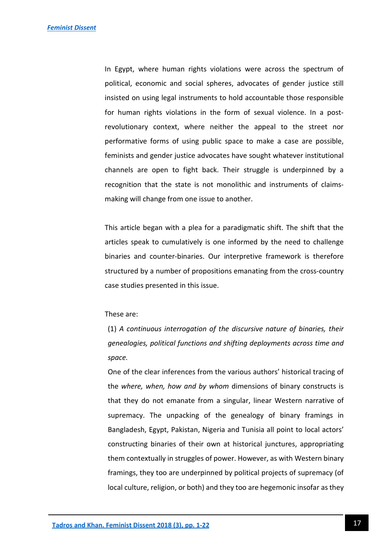In Egypt, where human rights violations were across the spectrum of political, economic and social spheres, advocates of gender justice still insisted on using legal instruments to hold accountable those responsible for human rights violations in the form of sexual violence. In a postrevolutionary context, where neither the appeal to the street nor performative forms of using public space to make a case are possible, feminists and gender justice advocates have sought whatever institutional channels are open to fight back. Their struggle is underpinned by a recognition that the state is not monolithic and instruments of claimsmaking will change from one issue to another.

This article began with a plea for a paradigmatic shift. The shift that the articles speak to cumulatively is one informed by the need to challenge binaries and counter-binaries. Our interpretive framework is therefore structured by a number of propositions emanating from the cross-country case studies presented in this issue.

#### These are:

(1) *A continuous interrogation of the discursive nature of binaries, their genealogies, political functions and shifting deployments across time and space.* 

One of the clear inferences from the various authors' historical tracing of the *where, when, how and by whom* dimensions of binary constructs is that they do not emanate from a singular, linear Western narrative of supremacy. The unpacking of the genealogy of binary framings in Bangladesh, Egypt, Pakistan, Nigeria and Tunisia all point to local actors' constructing binaries of their own at historical junctures, appropriating them contextually in struggles of power. However, as with Western binary framings, they too are underpinned by political projects of supremacy (of local culture, religion, or both) and they too are hegemonic insofar as they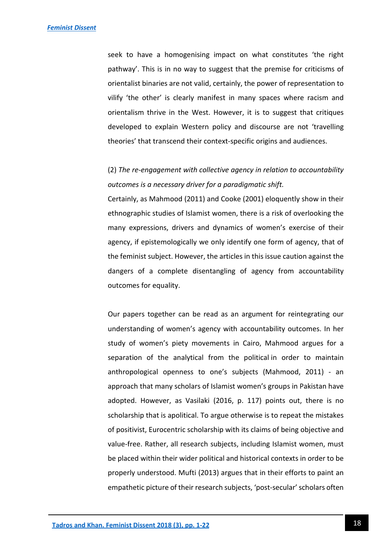seek to have a homogenising impact on what constitutes 'the right pathway'. This is in no way to suggest that the premise for criticisms of orientalist binaries are not valid, certainly, the power of representation to vilify 'the other' is clearly manifest in many spaces where racism and orientalism thrive in the West. However, it is to suggest that critiques developed to explain Western policy and discourse are not 'travelling theories' that transcend their context-specific origins and audiences.

(2) *The re-engagement with collective agency in relation to accountability outcomes is a necessary driver for a paradigmatic shift.*

Certainly, as Mahmood (2011) and Cooke (2001) eloquently show in their ethnographic studies of Islamist women, there is a risk of overlooking the many expressions, drivers and dynamics of women's exercise of their agency, if epistemologically we only identify one form of agency, that of the feminist subject. However, the articles in this issue caution against the dangers of a complete disentangling of agency from accountability outcomes for equality.

Our papers together can be read as an argument for reintegrating our understanding of women's agency with accountability outcomes. In her study of women's piety movements in Cairo, Mahmood argues for a separation of the analytical from the political in order to maintain anthropological openness to one's subjects (Mahmood, 2011) - an approach that many scholars of Islamist women's groups in Pakistan have adopted. However, as Vasilaki (2016, p. 117) points out, there is no scholarship that is apolitical. To argue otherwise is to repeat the mistakes of positivist, Eurocentric scholarship with its claims of being objective and value-free. Rather, all research subjects, including Islamist women, must be placed within their wider political and historical contexts in order to be properly understood. Mufti (2013) argues that in their efforts to paint an empathetic picture of their research subjects, 'post-secular' scholars often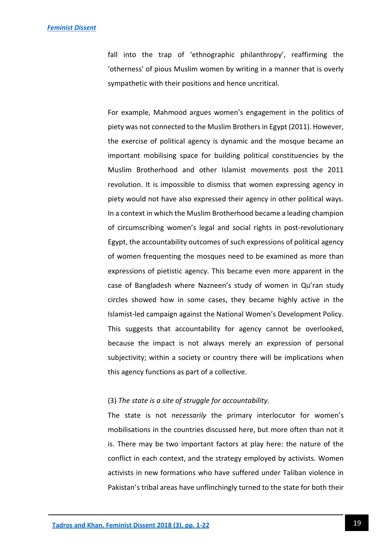fall into the trap of 'ethnographic philanthropy', reaffirming the 'otherness' of pious Muslim women by writing in a manner that is overly sympathetic with their positions and hence uncritical.

For example, Mahmood argues women's engagement in the politics of piety was not connected to the Muslim Brothers in Egypt (2011). However, the exercise of political agency is dynamic and the mosque became an important mobilising space for building political constituencies by the Muslim Brotherhood and other Islamist movements post the 2011 revolution. It is impossible to dismiss that women expressing agency in piety would not have also expressed their agency in other political ways. In a context in which the Muslim Brotherhood became a leading champion of circumscribing women's legal and social rights in post-revolutionary Egypt, the accountability outcomes of such expressions of political agency of women frequenting the mosques need to be examined as more than expressions of pietistic agency. This became even more apparent in the case of Bangladesh where Nazneen's study of women in Qu'ran study circles showed how in some cases, they became highly active in the Islamist-led campaign against the National Women's Development Policy. This suggests that accountability for agency cannot be overlooked, because the impact is not always merely an expression of personal subjectivity; within a society or country there will be implications when this agency functions as part of a collective.

#### (3) *The state is a site of struggle for accountability.*

The state is not *necessarily* the primary interlocutor for women's mobilisations in the countries discussed here, but more often than not it is. There may be two important factors at play here: the nature of the conflict in each context, and the strategy employed by activists. Women activists in new formations who have suffered under Taliban violence in Pakistan's tribal areas have unflinchingly turned to the state for both their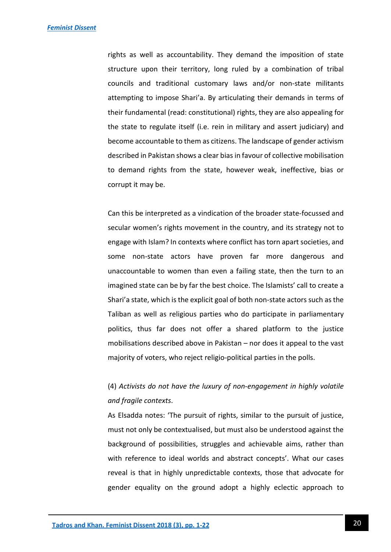rights as well as accountability. They demand the imposition of state structure upon their territory, long ruled by a combination of tribal councils and traditional customary laws and/or non-state militants attempting to impose Shari'a. By articulating their demands in terms of their fundamental (read: constitutional) rights, they are also appealing for the state to regulate itself (i.e. rein in military and assert judiciary) and become accountable to them as citizens. The landscape of gender activism described in Pakistan shows a clear bias in favour of collective mobilisation to demand rights from the state, however weak, ineffective, bias or corrupt it may be.

Can this be interpreted as a vindication of the broader state-focussed and secular women's rights movement in the country, and its strategy not to engage with Islam? In contexts where conflict has torn apart societies, and some non-state actors have proven far more dangerous and unaccountable to women than even a failing state, then the turn to an imagined state can be by far the best choice. The Islamists' call to create a Shari'a state, which is the explicit goal of both non-state actors such as the Taliban as well as religious parties who do participate in parliamentary politics, thus far does not offer a shared platform to the justice mobilisations described above in Pakistan – nor does it appeal to the vast majority of voters, who reject religio-political parties in the polls.

## (4) *Activists do not have the luxury of non-engagement in highly volatile and fragile contexts*.

As Elsadda notes: 'The pursuit of rights, similar to the pursuit of justice, must not only be contextualised, but must also be understood against the background of possibilities, struggles and achievable aims, rather than with reference to ideal worlds and abstract concepts'. What our cases reveal is that in highly unpredictable contexts, those that advocate for gender equality on the ground adopt a highly eclectic approach to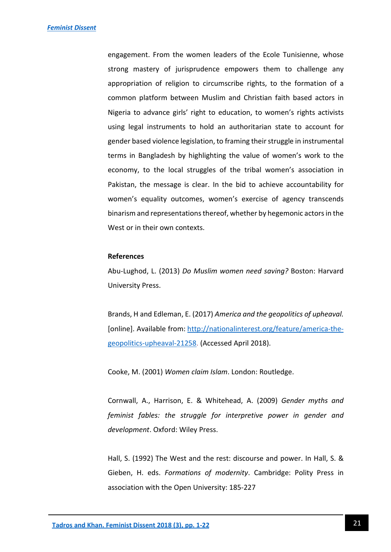engagement. From the women leaders of the Ecole Tunisienne, whose strong mastery of jurisprudence empowers them to challenge any appropriation of religion to circumscribe rights, to the formation of a common platform between Muslim and Christian faith based actors in Nigeria to advance girls' right to education, to women's rights activists using legal instruments to hold an authoritarian state to account for gender based violence legislation, to framing their struggle in instrumental terms in Bangladesh by highlighting the value of women's work to the economy, to the local struggles of the tribal women's association in Pakistan, the message is clear. In the bid to achieve accountability for women's equality outcomes, women's exercise of agency transcends binarism and representations thereof, whether by hegemonic actors in the West or in their own contexts.

#### **References**

Abu-Lughod, L. (2013) *Do Muslim women need saving?* Boston: Harvard University Press.

Brands, H and Edleman, E. (2017) *America and the geopolitics of upheaval.*  [online]. Available from: [http://nationalinterest.org/feature/america-the](http://nationalinterest.org/feature/america-the-geopolitics-upheaval-21258)[geopolitics-upheaval-21258.](http://nationalinterest.org/feature/america-the-geopolitics-upheaval-21258) (Accessed April 2018).

Cooke, M. (2001) *Women claim Islam*. London: Routledge.

Cornwall, A., Harrison, E. & Whitehead, A. (2009) *Gender myths and feminist fables: the struggle for interpretive power in gender and development*. Oxford: Wiley Press.

Hall, S. (1992) The West and the rest: discourse and power. In Hall, S. & Gieben, H. eds. *Formations of modernity*. Cambridge: Polity Press in association with the Open University: 185-227